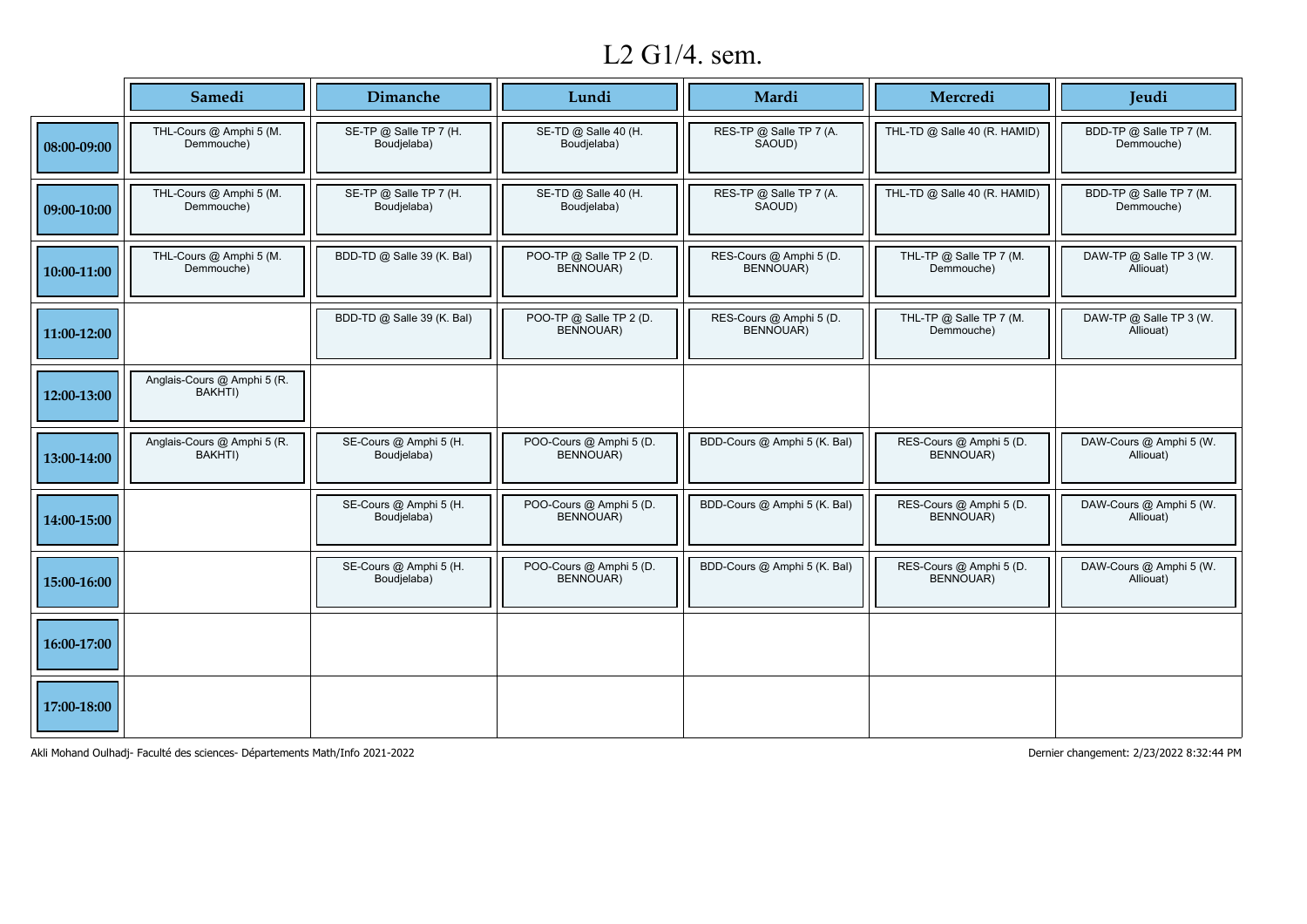# L2 G1/4. sem.

|             | Samedi                                 | Dimanche                              | Lundi                                       | Mardi                                | Mercredi                              | <b>Jeudi</b>                          |
|-------------|----------------------------------------|---------------------------------------|---------------------------------------------|--------------------------------------|---------------------------------------|---------------------------------------|
| 08:00-09:00 | THL-Cours @ Amphi 5 (M.<br>Demmouche)  | SE-TP @ Salle TP 7 (H.<br>Boudjelaba) | SE-TD @ Salle 40 (H.<br>Boudjelaba)         | RES-TP @ Salle TP 7 (A.<br>SAOUD)    | THL-TD @ Salle 40 (R. HAMID)          | BDD-TP @ Salle TP 7 (M.<br>Demmouche) |
| 09:00-10:00 | THL-Cours @ Amphi 5 (M.<br>Demmouche)  | SE-TP @ Salle TP 7 (H.<br>Boudjelaba) | SE-TD @ Salle 40 (H.<br>Boudjelaba)         | RES-TP @ Salle TP 7 (A.<br>SAOUD)    | THL-TD @ Salle 40 (R. HAMID)          | BDD-TP @ Salle TP 7 (M.<br>Demmouche) |
| 10:00-11:00 | THL-Cours @ Amphi 5 (M.<br>Demmouche)  | BDD-TD @ Salle 39 (K. Bal)            | POO-TP @ Salle TP 2 (D.<br><b>BENNOUAR)</b> | RES-Cours @ Amphi 5 (D.<br>BENNOUAR) | THL-TP @ Salle TP 7 (M.<br>Demmouche) | DAW-TP @ Salle TP 3 (W.<br>Alliouat)  |
| 11:00-12:00 |                                        | BDD-TD @ Salle 39 (K. Bal)            | POO-TP @ Salle TP 2 (D.<br>BENNOUAR)        | RES-Cours @ Amphi 5 (D.<br>BENNOUAR) | THL-TP @ Salle TP 7 (M.<br>Demmouche) | DAW-TP @ Salle TP 3 (W.<br>Alliouat)  |
| 12:00-13:00 | Anglais-Cours @ Amphi 5 (R.<br>BAKHTI) |                                       |                                             |                                      |                                       |                                       |
| 13:00-14:00 | Anglais-Cours @ Amphi 5 (R.<br>BAKHTI) | SE-Cours @ Amphi 5 (H.<br>Boudjelaba) | POO-Cours @ Amphi 5 (D.<br>BENNOUAR)        | BDD-Cours @ Amphi 5 (K. Bal)         | RES-Cours @ Amphi 5 (D.<br>BENNOUAR)  | DAW-Cours @ Amphi 5 (W.<br>Alliouat)  |
| 14:00-15:00 |                                        | SE-Cours @ Amphi 5 (H.<br>Boudjelaba) | POO-Cours @ Amphi 5 (D.<br>BENNOUAR)        | BDD-Cours @ Amphi 5 (K. Bal)         | RES-Cours @ Amphi 5 (D.<br>BENNOUAR)  | DAW-Cours @ Amphi 5 (W.<br>Alliouat)  |
| 15:00-16:00 |                                        | SE-Cours @ Amphi 5 (H.<br>Boudjelaba) | POO-Cours @ Amphi 5 (D.<br>BENNOUAR)        | BDD-Cours @ Amphi 5 (K. Bal)         | RES-Cours @ Amphi 5 (D.<br>BENNOUAR)  | DAW-Cours @ Amphi 5 (W.<br>Alliouat)  |
| 16:00-17:00 |                                        |                                       |                                             |                                      |                                       |                                       |
| 17:00-18:00 |                                        |                                       |                                             |                                      |                                       |                                       |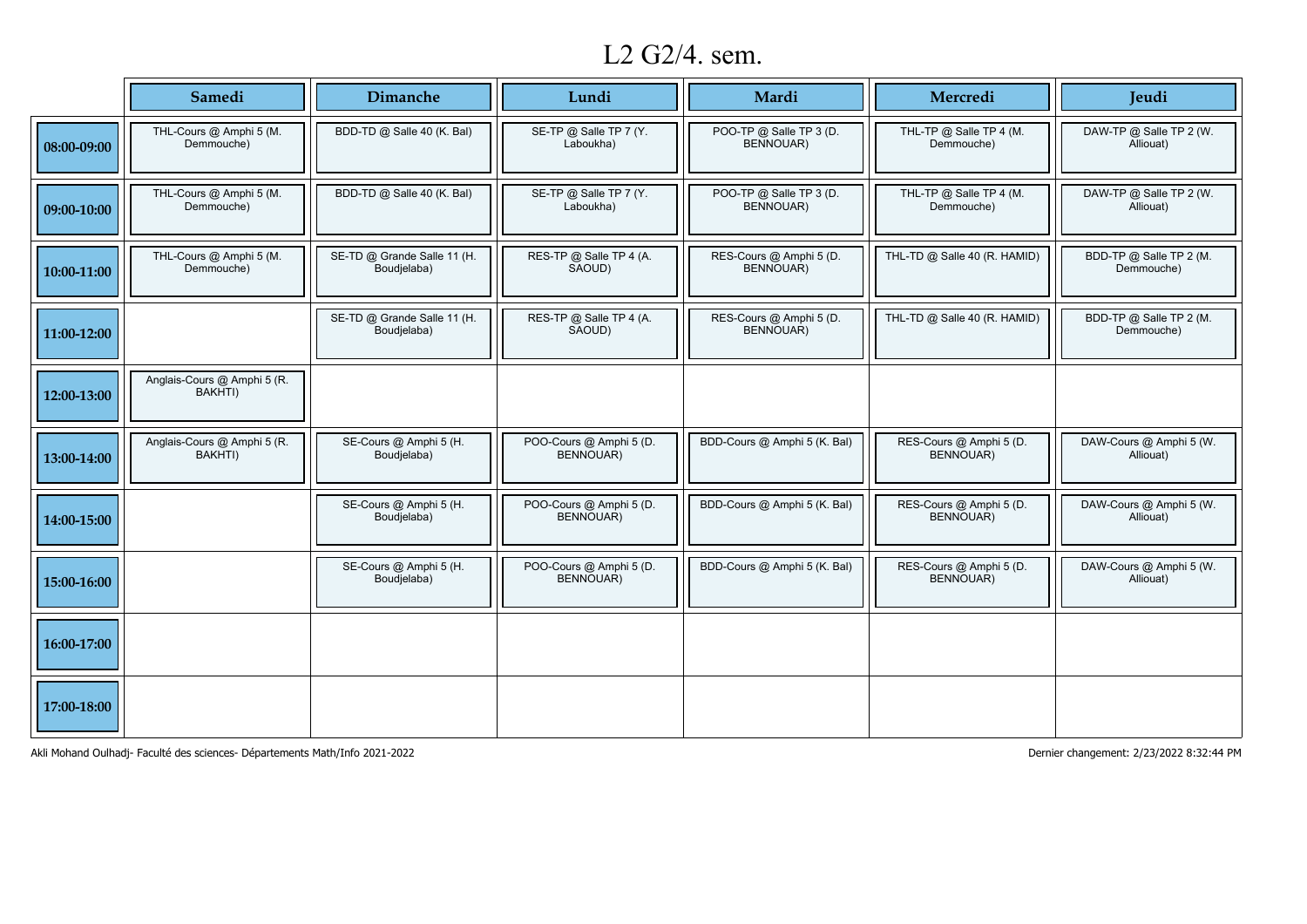# L2 G2/4. sem.

|             | Samedi                                 | <b>Dimanche</b>                            | Lundi                                       | Mardi                                       | Mercredi                              | Jeudi                                 |
|-------------|----------------------------------------|--------------------------------------------|---------------------------------------------|---------------------------------------------|---------------------------------------|---------------------------------------|
| 08:00-09:00 | THL-Cours @ Amphi 5 (M.<br>Demmouche)  | BDD-TD @ Salle 40 (K. Bal)                 | SE-TP @ Salle TP 7 (Y.<br>Laboukha)         | POO-TP @ Salle TP 3 (D.<br>BENNOUAR)        | THL-TP @ Salle TP 4 (M.<br>Demmouche) | DAW-TP @ Salle TP 2 (W.<br>Alliouat)  |
| 09:00-10:00 | THL-Cours @ Amphi 5 (M.<br>Demmouche)  | BDD-TD @ Salle 40 (K. Bal)                 | SE-TP @ Salle TP 7 (Y.<br>Laboukha)         | POO-TP @ Salle TP 3 (D.<br>BENNOUAR)        | THL-TP @ Salle TP 4 (M.<br>Demmouche) | DAW-TP @ Salle TP 2 (W.<br>Alliouat)  |
| 10:00-11:00 | THL-Cours @ Amphi 5 (M.<br>Demmouche)  | SE-TD @ Grande Salle 11 (H.<br>Boudjelaba) | RES-TP @ Salle TP 4 (A.<br>SAOUD)           | RES-Cours @ Amphi 5 (D.<br><b>BENNOUAR)</b> | THL-TD @ Salle 40 (R. HAMID)          | BDD-TP @ Salle TP 2 (M.<br>Demmouche) |
| 11:00-12:00 |                                        | SE-TD @ Grande Salle 11 (H.<br>Boudjelaba) | RES-TP @ Salle TP 4 (A.<br>SAOUD)           | RES-Cours @ Amphi 5 (D.<br>BENNOUAR)        | THL-TD @ Salle 40 (R. HAMID)          | BDD-TP @ Salle TP 2 (M.<br>Demmouche) |
| 12:00-13:00 | Anglais-Cours @ Amphi 5 (R.<br>BAKHTI) |                                            |                                             |                                             |                                       |                                       |
| 13:00-14:00 | Anglais-Cours @ Amphi 5 (R.<br>BAKHTI) | SE-Cours @ Amphi 5 (H.<br>Boudjelaba)      | POO-Cours @ Amphi 5 (D.<br><b>BENNOUAR)</b> | BDD-Cours @ Amphi 5 (K. Bal)                | RES-Cours @ Amphi 5 (D.<br>BENNOUAR)  | DAW-Cours @ Amphi 5 (W.<br>Alliouat)  |
| 14:00-15:00 |                                        | SE-Cours @ Amphi 5 (H.<br>Boudjelaba)      | POO-Cours @ Amphi 5 (D.<br>BENNOUAR)        | BDD-Cours @ Amphi 5 (K. Bal)                | RES-Cours @ Amphi 5 (D.<br>BENNOUAR)  | DAW-Cours @ Amphi 5 (W.<br>Alliouat)  |
| 15:00-16:00 |                                        | SE-Cours @ Amphi 5 (H.<br>Boudjelaba)      | POO-Cours @ Amphi 5 (D.<br>BENNOUAR)        | BDD-Cours @ Amphi 5 (K. Bal)                | RES-Cours @ Amphi 5 (D.<br>BENNOUAR)  | DAW-Cours @ Amphi 5 (W.<br>Alliouat)  |
| 16:00-17:00 |                                        |                                            |                                             |                                             |                                       |                                       |
| 17:00-18:00 |                                        |                                            |                                             |                                             |                                       |                                       |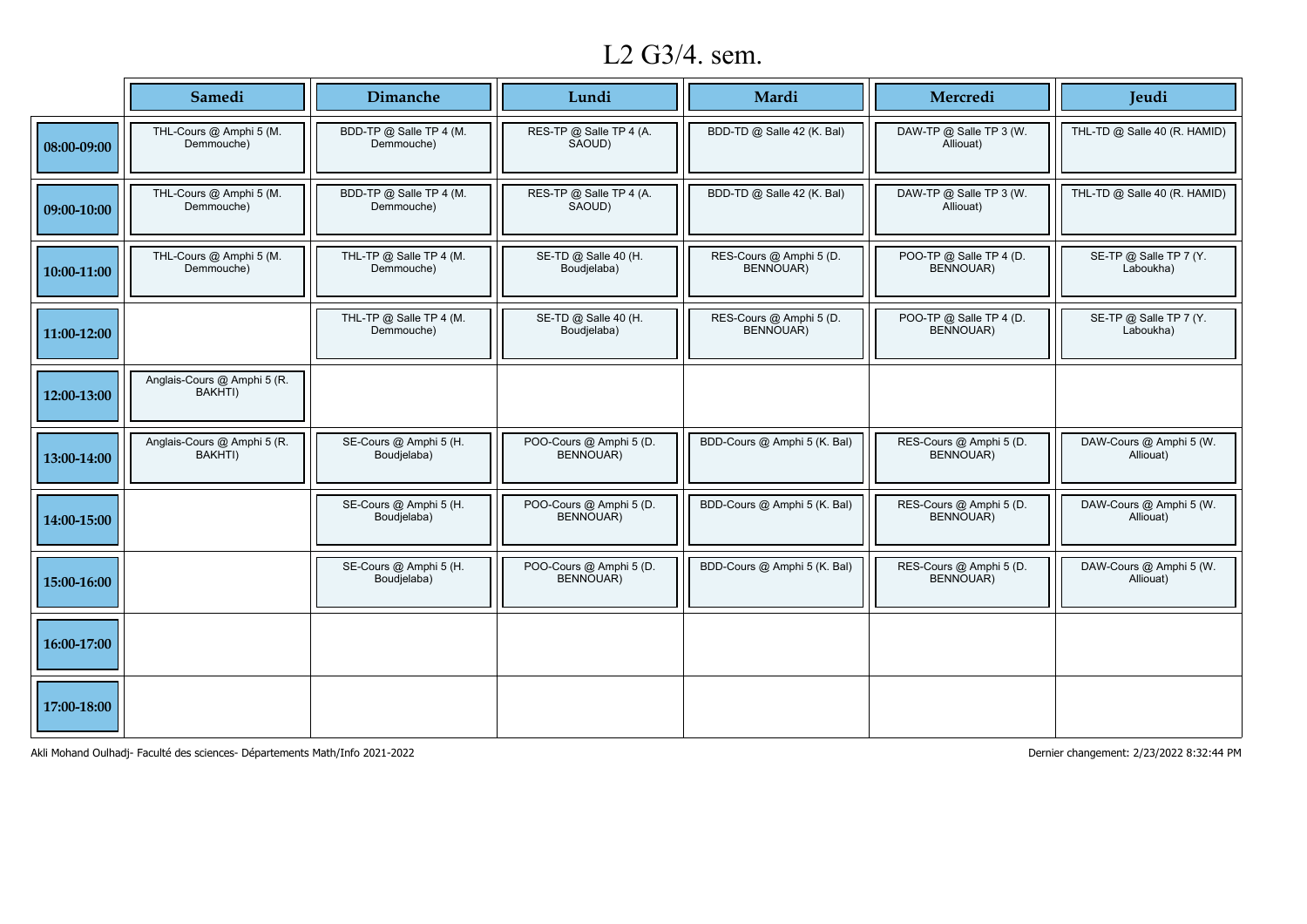# L2 G3/4. sem.

|             | Samedi                                 | <b>Dimanche</b>                       | Lundi                                       | Mardi                                       | Mercredi                             | Jeudi                                |
|-------------|----------------------------------------|---------------------------------------|---------------------------------------------|---------------------------------------------|--------------------------------------|--------------------------------------|
| 08:00-09:00 | THL-Cours @ Amphi 5 (M.<br>Demmouche)  | BDD-TP @ Salle TP 4 (M.<br>Demmouche) | RES-TP @ Salle TP 4 (A.<br>SAOUD)           | BDD-TD @ Salle 42 (K. Bal)                  | DAW-TP @ Salle TP 3 (W.<br>Alliouat) | THL-TD @ Salle 40 (R. HAMID)         |
| 09:00-10:00 | THL-Cours @ Amphi 5 (M.<br>Demmouche)  | BDD-TP @ Salle TP 4 (M.<br>Demmouche) | RES-TP @ Salle TP 4 (A.<br>SAOUD)           | BDD-TD @ Salle 42 (K. Bal)                  | DAW-TP @ Salle TP 3 (W.<br>Alliouat) | THL-TD @ Salle 40 (R. HAMID)         |
| 10:00-11:00 | THL-Cours @ Amphi 5 (M.<br>Demmouche)  | THL-TP @ Salle TP 4 (M.<br>Demmouche) | SE-TD @ Salle 40 (H.<br>Boudjelaba)         | RES-Cours @ Amphi 5 (D.<br><b>BENNOUAR)</b> | POO-TP @ Salle TP 4 (D.<br>BENNOUAR) | SE-TP @ Salle TP 7 (Y.<br>Laboukha)  |
| 11:00-12:00 |                                        | THL-TP @ Salle TP 4 (M.<br>Demmouche) | SE-TD @ Salle 40 (H.<br>Boudjelaba)         | RES-Cours @ Amphi 5 (D.<br>BENNOUAR)        | POO-TP @ Salle TP 4 (D.<br>BENNOUAR) | SE-TP @ Salle TP 7 (Y.<br>Laboukha)  |
| 12:00-13:00 | Anglais-Cours @ Amphi 5 (R.<br>BAKHTI) |                                       |                                             |                                             |                                      |                                      |
| 13:00-14:00 | Anglais-Cours @ Amphi 5 (R.<br>BAKHTI) | SE-Cours @ Amphi 5 (H.<br>Boudjelaba) | POO-Cours @ Amphi 5 (D.<br><b>BENNOUAR)</b> | BDD-Cours @ Amphi 5 (K. Bal)                | RES-Cours @ Amphi 5 (D.<br>BENNOUAR) | DAW-Cours @ Amphi 5 (W.<br>Alliouat) |
| 14:00-15:00 |                                        | SE-Cours @ Amphi 5 (H.<br>Boudjelaba) | POO-Cours @ Amphi 5 (D.<br>BENNOUAR)        | BDD-Cours @ Amphi 5 (K. Bal)                | RES-Cours @ Amphi 5 (D.<br>BENNOUAR) | DAW-Cours @ Amphi 5 (W.<br>Alliouat) |
| 15:00-16:00 |                                        | SE-Cours @ Amphi 5 (H.<br>Boudjelaba) | POO-Cours @ Amphi 5 (D.<br>BENNOUAR)        | BDD-Cours @ Amphi 5 (K. Bal)                | RES-Cours @ Amphi 5 (D.<br>BENNOUAR) | DAW-Cours @ Amphi 5 (W.<br>Alliouat) |
| 16:00-17:00 |                                        |                                       |                                             |                                             |                                      |                                      |
| 17:00-18:00 |                                        |                                       |                                             |                                             |                                      |                                      |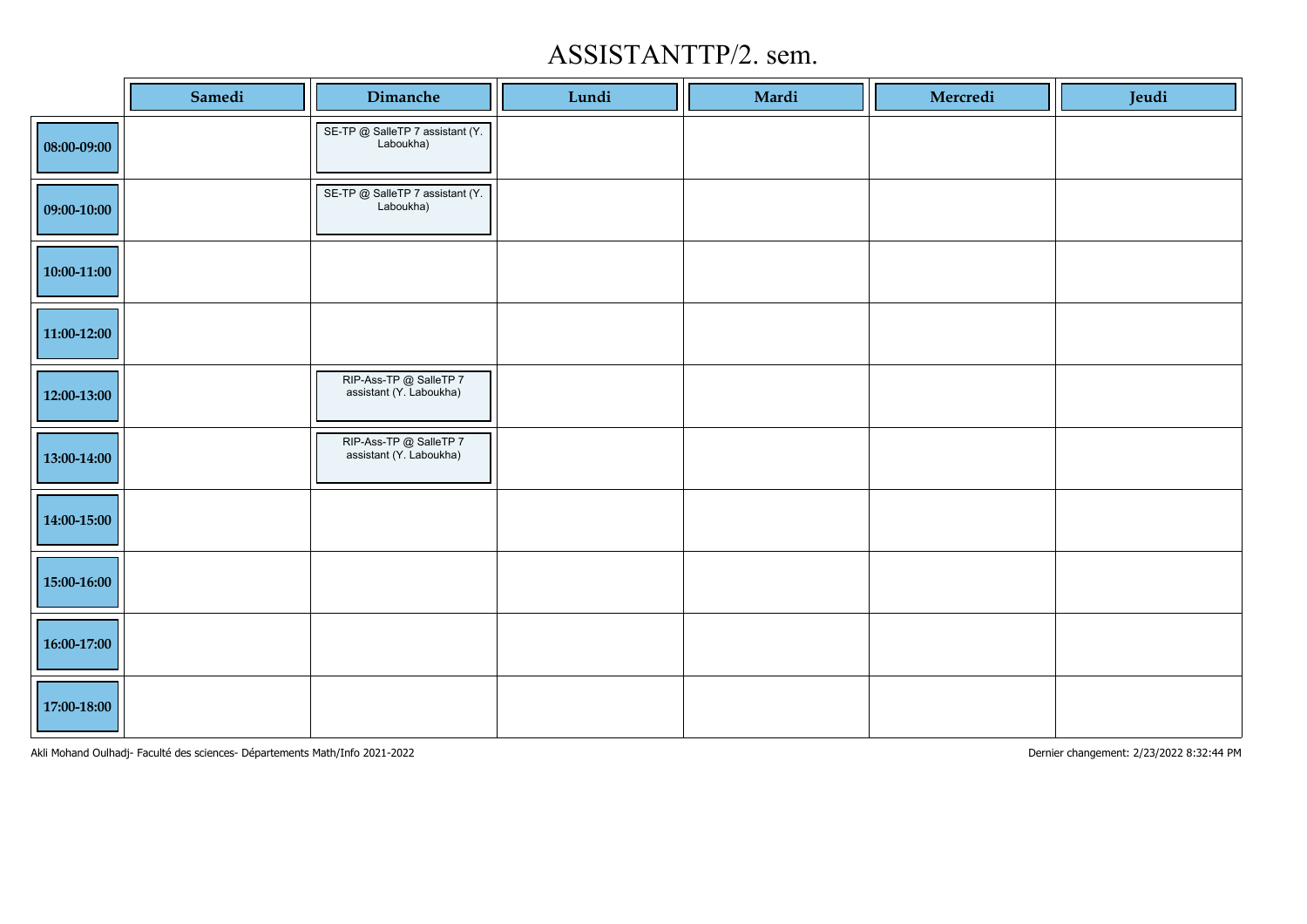### ASSISTANTTP/2. sem.

|               | Samedi | Dimanche                                          | Lundi | Mardi | Mercredi | Jeudi |
|---------------|--------|---------------------------------------------------|-------|-------|----------|-------|
| 08:00-09:00   |        | SE-TP @ SalleTP 7 assistant (Y.<br>Laboukha)      |       |       |          |       |
| 09:00-10:00   |        | SE-TP @ SalleTP 7 assistant (Y.<br>Laboukha)      |       |       |          |       |
| $10:00-11:00$ |        |                                                   |       |       |          |       |
| 11:00-12:00   |        |                                                   |       |       |          |       |
| 12:00-13:00   |        | RIP-Ass-TP @ SalleTP 7<br>assistant (Y. Laboukha) |       |       |          |       |
| 13:00-14:00   |        | RIP-Ass-TP @ SalleTP 7<br>assistant (Y. Laboukha) |       |       |          |       |
| 14:00-15:00   |        |                                                   |       |       |          |       |
| 15:00-16:00   |        |                                                   |       |       |          |       |
| 16:00-17:00   |        |                                                   |       |       |          |       |
| 17:00-18:00   |        |                                                   |       |       |          |       |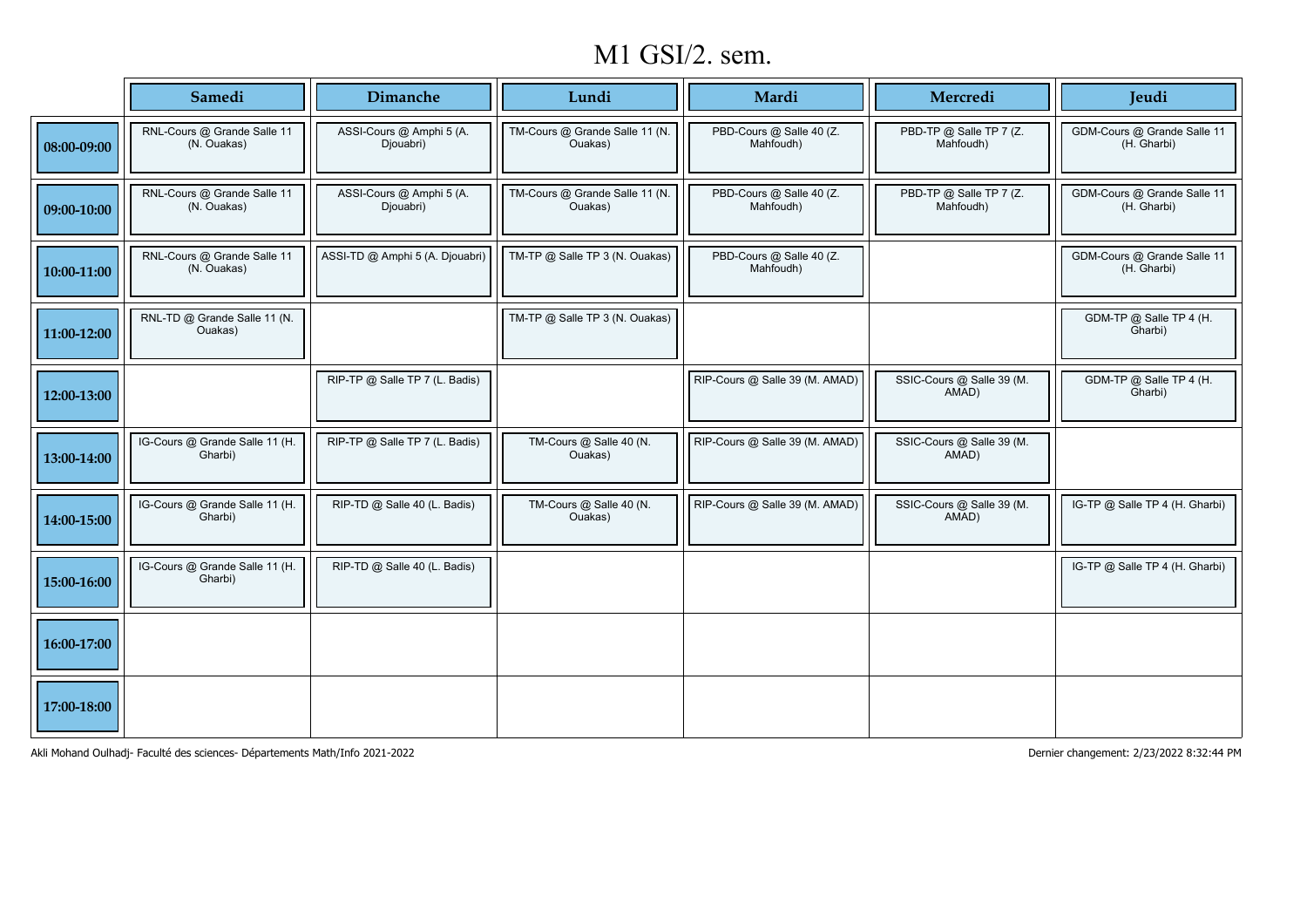### M1 GSI/2. sem.

|             | Samedi                                     | Dimanche                              | Lundi                                     | Mardi                                 | Mercredi                             | Jeudi                                      |
|-------------|--------------------------------------------|---------------------------------------|-------------------------------------------|---------------------------------------|--------------------------------------|--------------------------------------------|
| 08:00-09:00 | RNL-Cours @ Grande Salle 11<br>(N. Ouakas) | ASSI-Cours @ Amphi 5 (A.<br>Djouabri) | TM-Cours @ Grande Salle 11 (N.<br>Ouakas) | PBD-Cours @ Salle 40 (Z.<br>Mahfoudh) | PBD-TP @ Salle TP 7 (Z.<br>Mahfoudh) | GDM-Cours @ Grande Salle 11<br>(H. Gharbi) |
| 09:00-10:00 | RNL-Cours @ Grande Salle 11<br>(N. Ouakas) | ASSI-Cours @ Amphi 5 (A.<br>Djouabri) | TM-Cours @ Grande Salle 11 (N.<br>Ouakas) | PBD-Cours @ Salle 40 (Z.<br>Mahfoudh) | PBD-TP @ Salle TP 7 (Z.<br>Mahfoudh) | GDM-Cours @ Grande Salle 11<br>(H. Gharbi) |
| 10:00-11:00 | RNL-Cours @ Grande Salle 11<br>(N. Ouakas) | ASSI-TD @ Amphi 5 (A. Djouabri)       | TM-TP @ Salle TP 3 (N. Ouakas)            | PBD-Cours @ Salle 40 (Z.<br>Mahfoudh) |                                      | GDM-Cours @ Grande Salle 11<br>(H. Gharbi) |
| 11:00-12:00 | RNL-TD @ Grande Salle 11 (N.<br>Ouakas)    |                                       | TM-TP @ Salle TP 3 (N. Ouakas)            |                                       |                                      | GDM-TP @ Salle TP 4 (H.<br>Gharbi)         |
| 12:00-13:00 |                                            | RIP-TP @ Salle TP 7 (L. Badis)        |                                           | RIP-Cours @ Salle 39 (M. AMAD)        | SSIC-Cours @ Salle 39 (M.<br>AMAD)   | GDM-TP @ Salle TP 4 (H.<br>Gharbi)         |
| 13:00-14:00 | IG-Cours @ Grande Salle 11 (H.<br>Gharbi)  | RIP-TP @ Salle TP 7 (L. Badis)        | TM-Cours @ Salle 40 (N.<br>Ouakas)        | RIP-Cours @ Salle 39 (M. AMAD)        | SSIC-Cours @ Salle 39 (M.<br>AMAD)   |                                            |
| 14:00-15:00 | IG-Cours @ Grande Salle 11 (H.<br>Gharbi)  | RIP-TD @ Salle 40 (L. Badis)          | TM-Cours @ Salle 40 (N.<br>Ouakas)        | RIP-Cours @ Salle 39 (M. AMAD)        | SSIC-Cours @ Salle 39 (M.<br>AMAD)   | IG-TP @ Salle TP 4 (H. Gharbi)             |
| 15:00-16:00 | IG-Cours @ Grande Salle 11 (H.<br>Gharbi)  | RIP-TD @ Salle 40 (L. Badis)          |                                           |                                       |                                      | IG-TP @ Salle TP 4 (H. Gharbi)             |
| 16:00-17:00 |                                            |                                       |                                           |                                       |                                      |                                            |
| 17:00-18:00 |                                            |                                       |                                           |                                       |                                      |                                            |